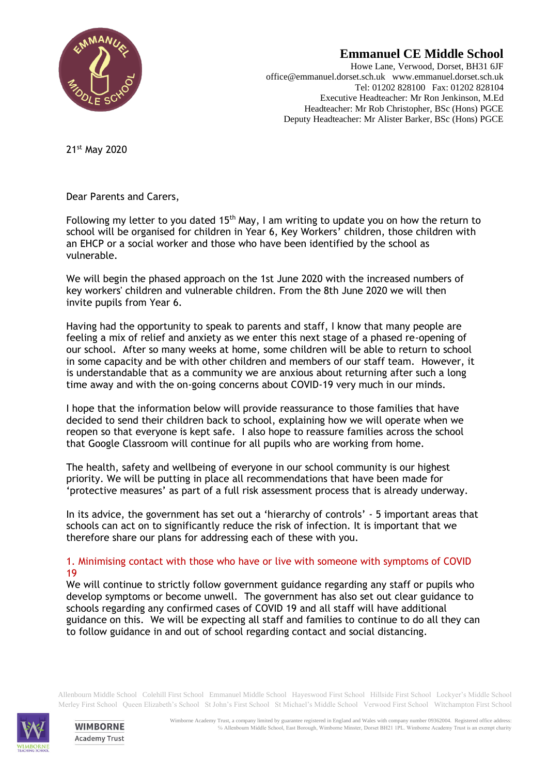

# **Emmanuel CE Middle School**

Howe Lane, Verwood, Dorset, BH31 6JF office@emmanuel.dorset.sch.uk www.emmanuel.dorset.sch.uk Tel: 01202 828100 Fax: 01202 828104 Executive Headteacher: Mr Ron Jenkinson, M.Ed Headteacher: Mr Rob Christopher, BSc (Hons) PGCE Deputy Headteacher: Mr Alister Barker, BSc (Hons) PGCE

21st May 2020

Dear Parents and Carers,

Following my letter to you dated 15<sup>th</sup> May, I am writing to update you on how the return to school will be organised for children in Year 6, Key Workers' children, those children with an EHCP or a social worker and those who have been identified by the school as vulnerable.

We will begin the phased approach on the 1st June 2020 with the increased numbers of key workers' children and vulnerable children. From the 8th June 2020 we will then invite pupils from Year 6.

Having had the opportunity to speak to parents and staff, I know that many people are feeling a mix of relief and anxiety as we enter this next stage of a phased re-opening of our school. After so many weeks at home, some children will be able to return to school in some capacity and be with other children and members of our staff team. However, it is understandable that as a community we are anxious about returning after such a long time away and with the on-going concerns about COVID-19 very much in our minds.

I hope that the information below will provide reassurance to those families that have decided to send their children back to school, explaining how we will operate when we reopen so that everyone is kept safe. I also hope to reassure families across the school that Google Classroom will continue for all pupils who are working from home.

The health, safety and wellbeing of everyone in our school community is our highest priority. We will be putting in place all recommendations that have been made for 'protective measures' as part of a full risk assessment process that is already underway.

In its advice, the government has set out a 'hierarchy of controls' - 5 important areas that schools can act on to significantly reduce the risk of infection. It is important that we therefore share our plans for addressing each of these with you.

# 1. Minimising contact with those who have or live with someone with symptoms of COVID 19

We will continue to strictly follow government guidance regarding any staff or pupils who develop symptoms or become unwell. The government has also set out clear guidance to schools regarding any confirmed cases of COVID 19 and all staff will have additional guidance on this. We will be expecting all staff and families to continue to do all they can to follow guidance in and out of school regarding contact and social distancing.

Allenbourn Middle School Colehill First School Emmanuel Middle School Hayeswood First School Hillside First School Lockyer's Middle School Merley First School Queen Elizabeth's School St John's First School St Michael's Middle School Verwood First School Witchampton First School



**WIMBORNE Academy Trust**  Wimborne Academy Trust, a company limited by guarantee registered in England and Wales with company number 09362004. Registered office address: ℅ Allenbourn Middle School, East Borough, Wimborne Minster, Dorset BH21 1PL. Wimborne Academy Trust is an exempt charity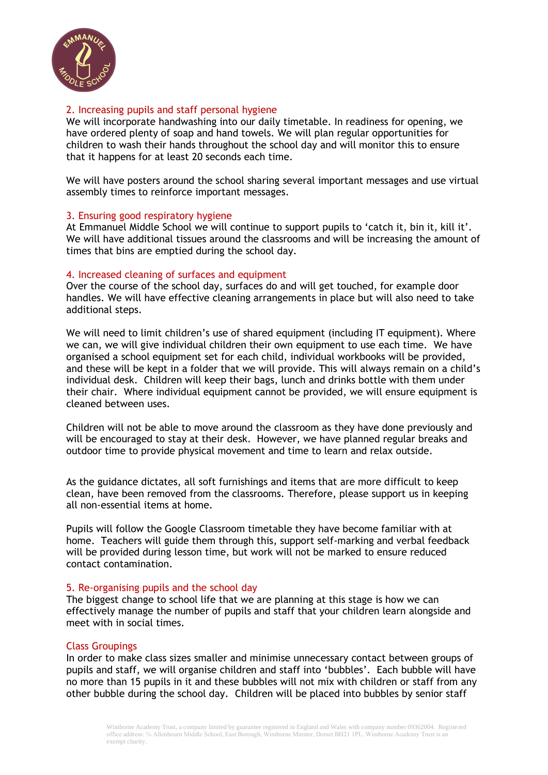

## 2. Increasing pupils and staff personal hygiene

We will incorporate handwashing into our daily timetable. In readiness for opening, we have ordered plenty of soap and hand towels. We will plan regular opportunities for children to wash their hands throughout the school day and will monitor this to ensure that it happens for at least 20 seconds each time.

We will have posters around the school sharing several important messages and use virtual assembly times to reinforce important messages.

## 3. Ensuring good respiratory hygiene

At Emmanuel Middle School we will continue to support pupils to 'catch it, bin it, kill it'. We will have additional tissues around the classrooms and will be increasing the amount of times that bins are emptied during the school day.

## 4. Increased cleaning of surfaces and equipment

Over the course of the school day, surfaces do and will get touched, for example door handles. We will have effective cleaning arrangements in place but will also need to take additional steps.

We will need to limit children's use of shared equipment (including IT equipment). Where we can, we will give individual children their own equipment to use each time. We have organised a school equipment set for each child, individual workbooks will be provided, and these will be kept in a folder that we will provide. This will always remain on a child's individual desk. Children will keep their bags, lunch and drinks bottle with them under their chair. Where individual equipment cannot be provided, we will ensure equipment is cleaned between uses.

Children will not be able to move around the classroom as they have done previously and will be encouraged to stay at their desk. However, we have planned regular breaks and outdoor time to provide physical movement and time to learn and relax outside.

As the guidance dictates, all soft furnishings and items that are more difficult to keep clean, have been removed from the classrooms. Therefore, please support us in keeping all non-essential items at home.

Pupils will follow the Google Classroom timetable they have become familiar with at home. Teachers will guide them through this, support self-marking and verbal feedback will be provided during lesson time, but work will not be marked to ensure reduced contact contamination.

#### 5. Re-organising pupils and the school day

The biggest change to school life that we are planning at this stage is how we can effectively manage the number of pupils and staff that your children learn alongside and meet with in social times.

#### Class Groupings

In order to make class sizes smaller and minimise unnecessary contact between groups of pupils and staff, we will organise children and staff into 'bubbles'. Each bubble will have no more than 15 pupils in it and these bubbles will not mix with children or staff from any other bubble during the school day. Children will be placed into bubbles by senior staff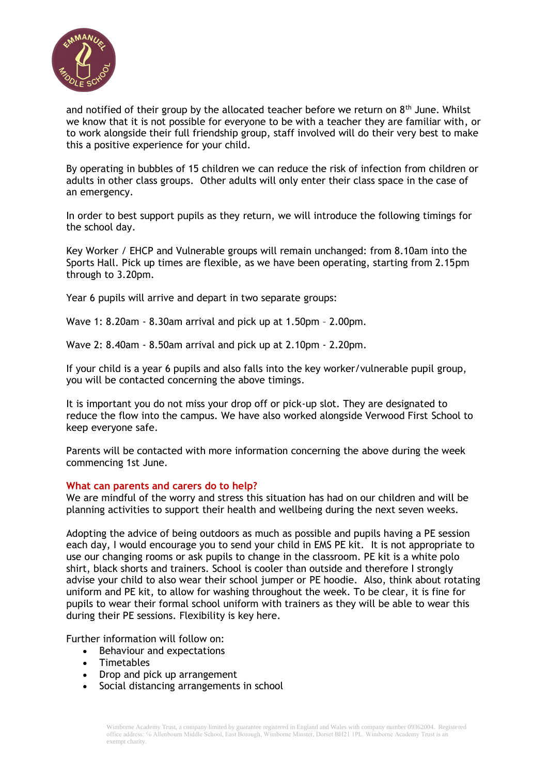

and notified of their group by the allocated teacher before we return on  $8<sup>th</sup>$  June. Whilst we know that it is not possible for everyone to be with a teacher they are familiar with, or to work alongside their full friendship group, staff involved will do their very best to make this a positive experience for your child.

By operating in bubbles of 15 children we can reduce the risk of infection from children or adults in other class groups. Other adults will only enter their class space in the case of an emergency.

In order to best support pupils as they return, we will introduce the following timings for the school day.

Key Worker / EHCP and Vulnerable groups will remain unchanged: from 8.10am into the Sports Hall. Pick up times are flexible, as we have been operating, starting from 2.15pm through to 3.20pm.

Year 6 pupils will arrive and depart in two separate groups:

Wave 1: 8.20am - 8.30am arrival and pick up at 1.50pm – 2.00pm.

Wave 2: 8.40am - 8.50am arrival and pick up at 2.10pm - 2.20pm.

If your child is a year 6 pupils and also falls into the key worker/vulnerable pupil group, you will be contacted concerning the above timings.

It is important you do not miss your drop off or pick-up slot. They are designated to reduce the flow into the campus. We have also worked alongside Verwood First School to keep everyone safe.

Parents will be contacted with more information concerning the above during the week commencing 1st June.

#### **What can parents and carers do to help?**

We are mindful of the worry and stress this situation has had on our children and will be planning activities to support their health and wellbeing during the next seven weeks.

Adopting the advice of being outdoors as much as possible and pupils having a PE session each day, I would encourage you to send your child in EMS PE kit. It is not appropriate to use our changing rooms or ask pupils to change in the classroom. PE kit is a white polo shirt, black shorts and trainers. School is cooler than outside and therefore I strongly advise your child to also wear their school jumper or PE hoodie. Also, think about rotating uniform and PE kit, to allow for washing throughout the week. To be clear, it is fine for pupils to wear their formal school uniform with trainers as they will be able to wear this during their PE sessions. Flexibility is key here.

Further information will follow on:

- Behaviour and expectations
- Timetables
- Drop and pick up arrangement
- Social distancing arrangements in school